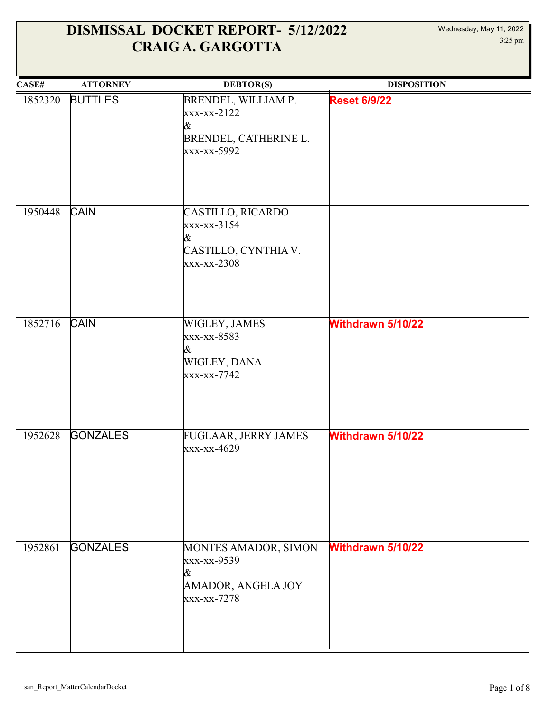| CASE#   | <b>ATTORNEY</b> | <b>DEBTOR(S)</b>                                                                     | <b>DISPOSITION</b>       |
|---------|-----------------|--------------------------------------------------------------------------------------|--------------------------|
| 1852320 | <b>BUTTLES</b>  | BRENDEL, WILLIAM P.<br>$xxx-xx-2122$<br>&<br>BRENDEL, CATHERINE L.<br>xxx-xx-5992    | <b>Reset 6/9/22</b>      |
| 1950448 | CAIN            | CASTILLO, RICARDO<br>xxx-xx-3154<br>&<br>CASTILLO, CYNTHIA V.<br>xxx-xx-2308         |                          |
| 1852716 | <b>CAIN</b>     | WIGLEY, JAMES<br>xxx-xx-8583<br>&<br>WIGLEY, DANA<br>xxx-xx-7742                     | Withdrawn 5/10/22        |
| 1952628 | <b>GONZALES</b> | FUGLAAR, JERRY JAMES<br>xxx-xx-4629                                                  | Withdrawn 5/10/22        |
| 1952861 | <b>GONZALES</b> | MONTES AMADOR, SIMON<br>xxx-xx-9539<br>&<br><b>AMADOR, ANGELA JOY</b><br>xxx-xx-7278 | <b>Withdrawn 5/10/22</b> |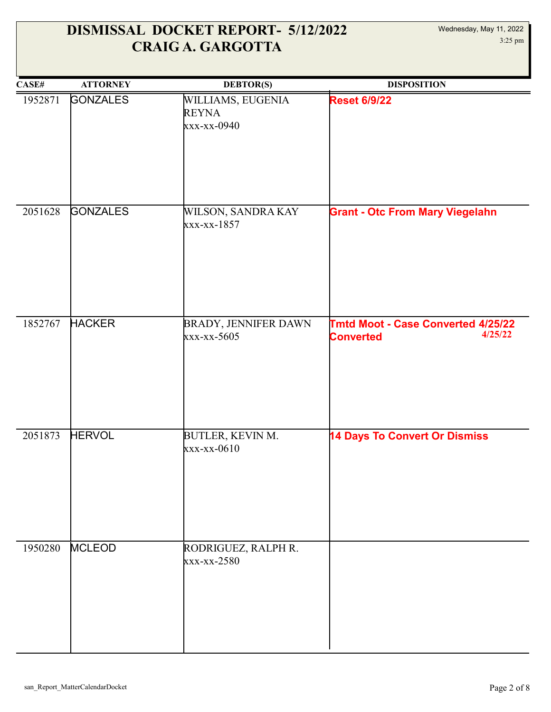#### Wednesday, May 11, 2022 3:25 pm

| CASE#   | <b>ATTORNEY</b> | <b>DEBTOR(S)</b>                                 | <b>DISPOSITION</b>                                                |
|---------|-----------------|--------------------------------------------------|-------------------------------------------------------------------|
| 1952871 | <b>GONZALES</b> | WILLIAMS, EUGENIA<br><b>REYNA</b><br>xxx-xx-0940 | <b>Reset 6/9/22</b>                                               |
| 2051628 | <b>GONZALES</b> | WILSON, SANDRA KAY<br>xxx-xx-1857                | <b>Grant - Otc From Mary Viegelahn</b>                            |
| 1852767 | <b>HACKER</b>   | <b>BRADY, JENNIFER DAWN</b><br>xxx-xx-5605       | Tmtd Moot - Case Converted 4/25/22<br>4/25/22<br><b>Converted</b> |
| 2051873 | <b>HERVOL</b>   | BUTLER, KEVIN M.<br>xxx-xx-0610                  | <b>14 Days To Convert Or Dismiss</b>                              |
| 1950280 | <b>MCLEOD</b>   | RODRIGUEZ, RALPH R.<br>xxx-xx-2580               |                                                                   |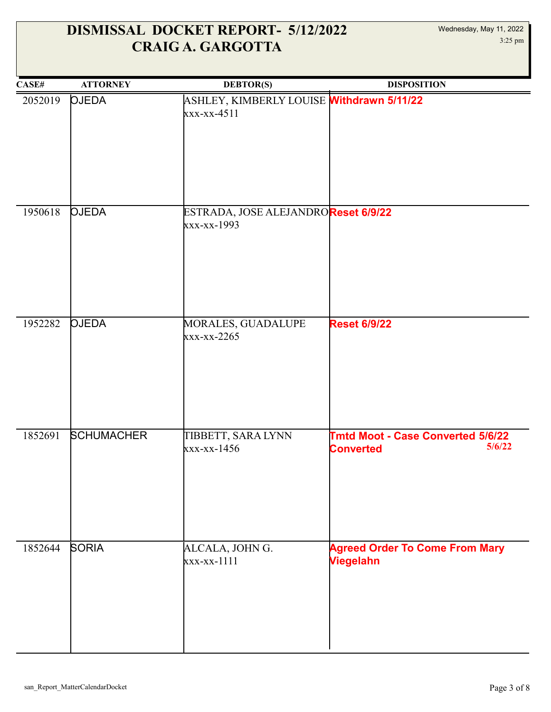| CASE#   | <b>ATTORNEY</b>   | <b>DEBTOR(S)</b>                                           | <b>DISPOSITION</b>                                                     |
|---------|-------------------|------------------------------------------------------------|------------------------------------------------------------------------|
| 2052019 | <b>OJEDA</b>      | ASHLEY, KIMBERLY LOUISE Withdrawn 5/11/22<br>$xxx-xx-4511$ |                                                                        |
|         |                   |                                                            |                                                                        |
| 1950618 | <b>OJEDA</b>      | ESTRADA, JOSE ALEJANDROReset 6/9/22<br>xxx-xx-1993         |                                                                        |
| 1952282 | <b>OJEDA</b>      | MORALES, GUADALUPE                                         | <b>Reset 6/9/22</b>                                                    |
|         |                   | $\frac{xx}{x-x}-2265$                                      |                                                                        |
| 1852691 | <b>SCHUMACHER</b> | TIBBETT, SARA LYNN<br>$xxx-xx-1456$                        | <b>Tmtd Moot - Case Converted 5/6/22</b><br>5/6/22<br><b>Converted</b> |
| 1852644 | <b>SORIA</b>      | ALCALA, JOHN G.<br>$xxx-xx-1111$                           | <b>Agreed Order To Come From Mary</b><br><b>Viegelahn</b>              |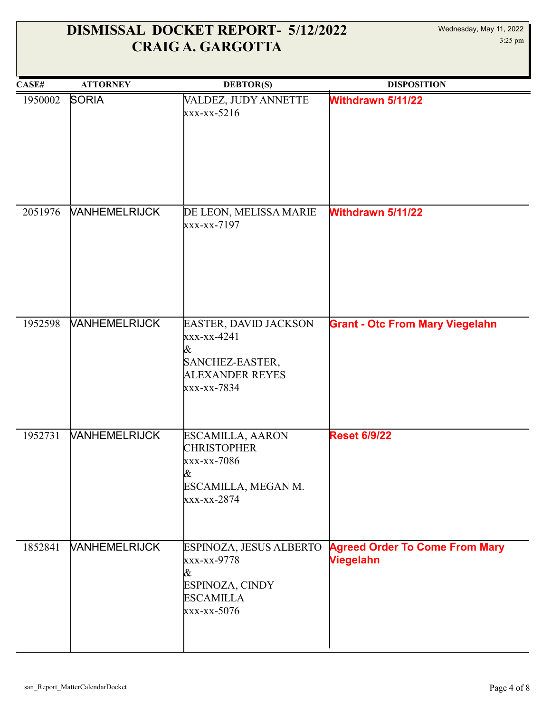#### Wednesday, May 11, 2022 3:25 pm

| CASE#   | <b>ATTORNEY</b>             | <b>DEBTOR(S)</b>                                                                                      | <b>DISPOSITION</b>                                        |
|---------|-----------------------------|-------------------------------------------------------------------------------------------------------|-----------------------------------------------------------|
| 1950002 | <b>SORIA</b>                | VALDEZ, JUDY ANNETTE<br>$\frac{x}{x-x-x-5216}$                                                        | <b>Withdrawn 5/11/22</b>                                  |
| 2051976 | <b><i>VANHEMELRIJCK</i></b> | DE LEON, MELISSA MARIE<br>xxx-xx-7197                                                                 | <b>Withdrawn 5/11/22</b>                                  |
| 1952598 | <b><i>VANHEMELRIJCK</i></b> | EASTER, DAVID JACKSON<br>xxx-xx-4241<br>&<br>SANCHEZ-EASTER,<br><b>ALEXANDER REYES</b><br>xxx-xx-7834 | <b>Grant - Otc From Mary Viegelahn</b>                    |
| 1952731 | <b><i>NANHEMELRIJCK</i></b> | ESCAMILLA, AARON<br><b>CHRISTOPHER</b><br>xxx-xx-7086<br>&<br>ESCAMILLA, MEGAN M.<br>xxx-xx-2874      | <b>Reset 6/9/22</b>                                       |
| 1852841 | <b><i>VANHEMELRIJCK</i></b> | ESPINOZA, JESUS ALBERTO<br>xxx-xx-9778<br>&<br>ESPINOZA, CINDY<br><b>ESCAMILLA</b><br>xxx-xx-5076     | <b>Agreed Order To Come From Mary</b><br><b>Viegelahn</b> |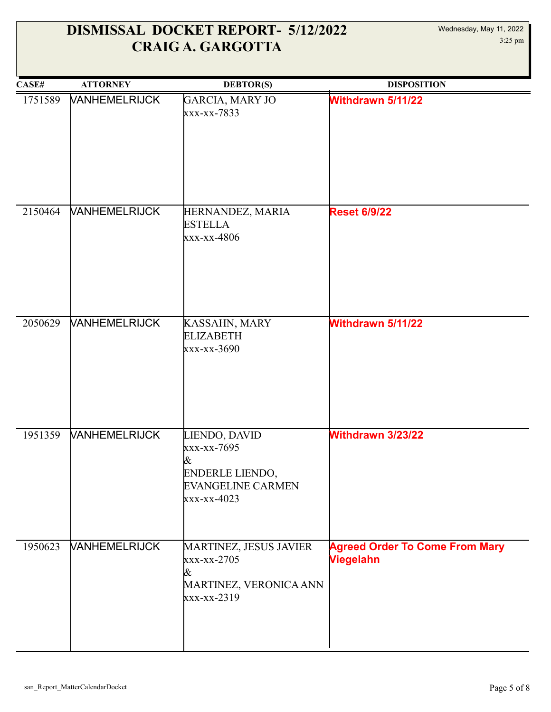| CASE#   | <b>ATTORNEY</b>      | <b>DEBTOR(S)</b>                                                                                | <b>DISPOSITION</b>                                        |
|---------|----------------------|-------------------------------------------------------------------------------------------------|-----------------------------------------------------------|
| 1751589 | <b>VANHEMELRIJCK</b> | GARCIA, MARY JO<br>xxx-xx-7833                                                                  | <b>Withdrawn 5/11/22</b>                                  |
| 2150464 | VANHEMELRIJCK        | HERNANDEZ, MARIA<br><b>ESTELLA</b><br>xxx-xx-4806                                               | <b>Reset 6/9/22</b>                                       |
| 2050629 | VANHEMELRIJCK        | KASSAHN, MARY<br><b>ELIZABETH</b><br>xxx-xx-3690                                                | <b>Withdrawn 5/11/22</b>                                  |
| 1951359 | VANHEMELRIJCK        | LIENDO, DAVID<br>xxx-xx-7695<br>&<br>ENDERLE LIENDO,<br><b>EVANGELINE CARMEN</b><br>xxx-xx-4023 | Withdrawn 3/23/22                                         |
| 1950623 | <b>VANHEMELRIJCK</b> | MARTINEZ, JESUS JAVIER<br>xxx-xx-2705<br>&<br>MARTINEZ, VERONICA ANN<br>xxx-xx-2319             | <b>Agreed Order To Come From Mary</b><br><b>Viegelahn</b> |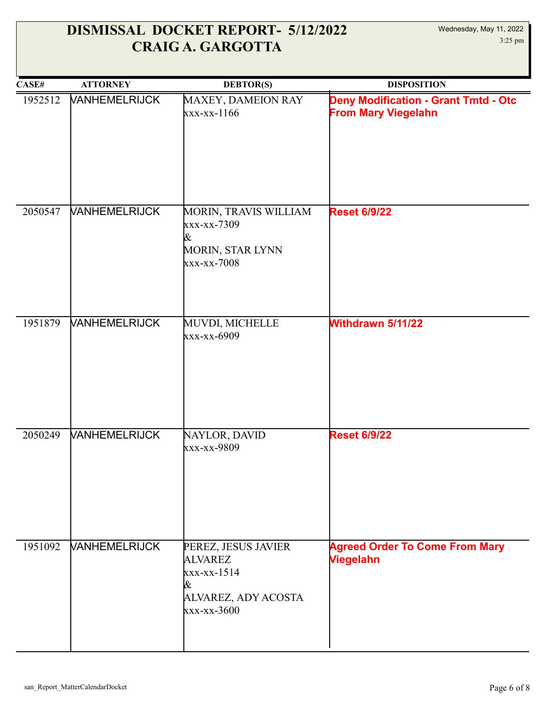| CASE#   | <b>ATTORNEY</b>             | <b>DEBTOR(S)</b>                                                                                | <b>DISPOSITION</b>                                                        |
|---------|-----------------------------|-------------------------------------------------------------------------------------------------|---------------------------------------------------------------------------|
| 1952512 | <b><i>VANHEMELRIJCK</i></b> | MAXEY, DAMEION RAY<br>xxx-xx-1166                                                               | <b>Deny Modification - Grant Tmtd - Otc</b><br><b>From Mary Viegelahn</b> |
| 2050547 | <b>VANHEMELRIJCK</b>        | MORIN, TRAVIS WILLIAM<br>xxx-xx-7309<br>&<br>MORIN, STAR LYNN<br>xxx-xx-7008                    | <b>Reset 6/9/22</b>                                                       |
| 1951879 | <b>VANHEMELRIJCK</b>        | MUVDI, MICHELLE<br>xxx-xx-6909                                                                  | <b>Withdrawn 5/11/22</b>                                                  |
| 2050249 | <b>VANHEMELRIJCK</b>        | NAYLOR, DAVID<br>xxx-xx-9809                                                                    | <b>Reset 6/9/22</b>                                                       |
| 1951092 | <b><i>VANHEMELRIJCK</i></b> | PEREZ, JESUS JAVIER<br><b>ALVAREZ</b><br>xxx-xx-1514<br>&<br>ALVAREZ, ADY ACOSTA<br>xxx-xx-3600 | <b>Agreed Order To Come From Mary</b><br><b>Viegelahn</b>                 |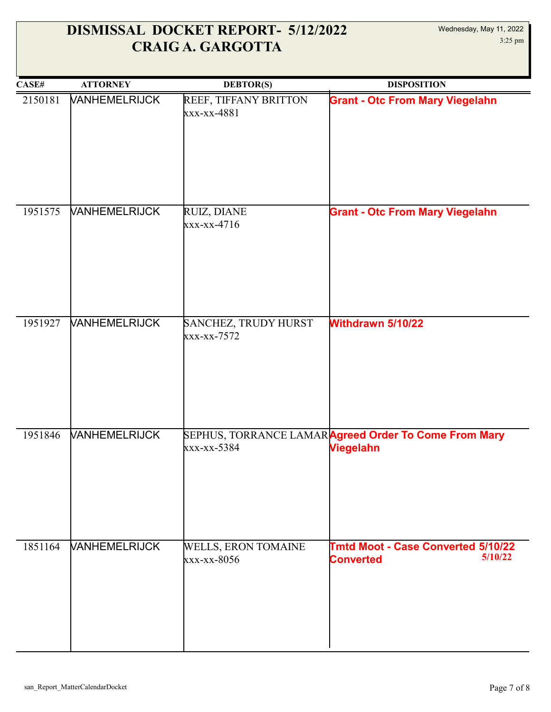| CASE#   | <b>ATTORNEY</b>             | <b>DEBTOR(S)</b>                          | <b>DISPOSITION</b>                                                       |
|---------|-----------------------------|-------------------------------------------|--------------------------------------------------------------------------|
| 2150181 | <b><i>VANHEMELRIJCK</i></b> | REEF, TIFFANY BRITTON<br>xxx-xx-4881      | <b>Grant - Otc From Mary Viegelahn</b>                                   |
| 1951575 | <b>VANHEMELRIJCK</b>        | RUIZ, DIANE                               | <b>Grant - Otc From Mary Viegelahn</b>                                   |
|         |                             | $xxx-xx-4716$                             |                                                                          |
| 1951927 | <b><i>VANHEMELRIJCK</i></b> | SANCHEZ, TRUDY HURST<br>xxx-xx-7572       | <b>Withdrawn 5/10/22</b>                                                 |
| 1951846 | <b>VANHEMELRIJCK</b>        | xxx-xx-5384                               | SEPHUS, TORRANCE LAMARAgreed Order To Come From Mary<br><b>Viegelahn</b> |
| 1851164 | <b><i>NANHEMELRIJCK</i></b> | <b>WELLS, ERON TOMAINE</b><br>xxx-xx-8056 | <b>Tmtd Moot - Case Converted 5/10/22</b><br>5/10/22<br><b>Converted</b> |